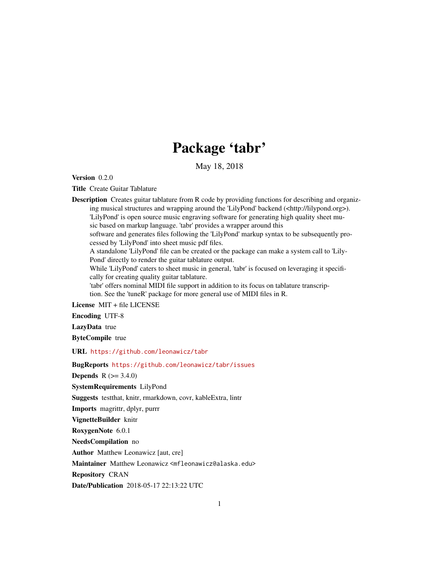# Package 'tabr'

May 18, 2018

Version 0.2.0

Title Create Guitar Tablature

Description Creates guitar tablature from R code by providing functions for describing and organizing musical structures and wrapping around the 'LilyPond' backend (<http://lilypond.org>). 'LilyPond' is open source music engraving software for generating high quality sheet music based on markup language. 'tabr' provides a wrapper around this software and generates files following the 'LilyPond' markup syntax to be subsequently processed by 'LilyPond' into sheet music pdf files. A standalone 'LilyPond' file can be created or the package can make a system call to 'Lily-Pond' directly to render the guitar tablature output. While 'LilyPond' caters to sheet music in general, 'tabr' is focused on leveraging it specifically for creating quality guitar tablature. 'tabr' offers nominal MIDI file support in addition to its focus on tablature transcription. See the 'tuneR' package for more general use of MIDI files in R. License MIT + file LICENSE Encoding UTF-8

LazyData true

ByteCompile true

URL <https://github.com/leonawicz/tabr>

BugReports <https://github.com/leonawicz/tabr/issues>

**Depends**  $R (= 3.4.0)$ 

SystemRequirements LilyPond

Suggests testthat, knitr, rmarkdown, covr, kableExtra, lintr

Imports magrittr, dplyr, purrr

VignetteBuilder knitr

RoxygenNote 6.0.1

NeedsCompilation no

Author Matthew Leonawicz [aut, cre]

Maintainer Matthew Leonawicz <mfleonawicz@alaska.edu>

Repository CRAN

Date/Publication 2018-05-17 22:13:22 UTC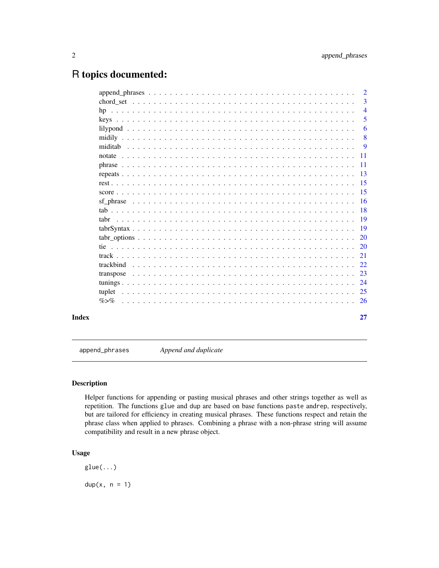# <span id="page-1-0"></span>R topics documented:

|       |                                                                                                                                                                                                                                                   | $\overline{2}$  |
|-------|---------------------------------------------------------------------------------------------------------------------------------------------------------------------------------------------------------------------------------------------------|-----------------|
|       |                                                                                                                                                                                                                                                   | $\overline{3}$  |
|       |                                                                                                                                                                                                                                                   | $\overline{4}$  |
|       |                                                                                                                                                                                                                                                   | 5               |
|       |                                                                                                                                                                                                                                                   | 6               |
|       |                                                                                                                                                                                                                                                   | 8               |
|       |                                                                                                                                                                                                                                                   | -9              |
|       |                                                                                                                                                                                                                                                   | -11             |
|       |                                                                                                                                                                                                                                                   | $\overline{11}$ |
|       |                                                                                                                                                                                                                                                   |                 |
|       |                                                                                                                                                                                                                                                   |                 |
|       |                                                                                                                                                                                                                                                   |                 |
|       |                                                                                                                                                                                                                                                   | -16             |
|       |                                                                                                                                                                                                                                                   |                 |
|       |                                                                                                                                                                                                                                                   |                 |
|       |                                                                                                                                                                                                                                                   |                 |
|       |                                                                                                                                                                                                                                                   | <sup>20</sup>   |
|       |                                                                                                                                                                                                                                                   | <sup>20</sup>   |
|       |                                                                                                                                                                                                                                                   | 21              |
|       | trackbind<br><u>. In the second contract of the second contract of the second contract of the second contract of the second contract of the second contract of the second contract of the second contract of the second contract of the secon</u> | 22              |
|       |                                                                                                                                                                                                                                                   | 23              |
|       |                                                                                                                                                                                                                                                   | 24              |
|       | tuplet                                                                                                                                                                                                                                            |                 |
|       | $\% > \%$                                                                                                                                                                                                                                         |                 |
|       |                                                                                                                                                                                                                                                   |                 |
| Index |                                                                                                                                                                                                                                                   | 27              |

append\_phrases *Append and duplicate*

# Description

Helper functions for appending or pasting musical phrases and other strings together as well as repetition. The functions glue and dup are based on base functions paste andrep, respectively, but are tailored for efficiency in creating musical phrases. These functions respect and retain the phrase class when applied to phrases. Combining a phrase with a non-phrase string will assume compatibility and result in a new phrase object.

# Usage

 $glue(...)$ 

 $dup(x, n = 1)$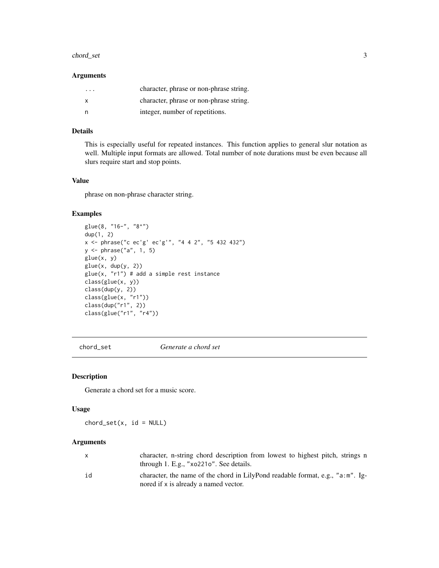#### <span id="page-2-0"></span>chord\_set 3

# Arguments

| . | character, phrase or non-phrase string. |
|---|-----------------------------------------|
| х | character, phrase or non-phrase string. |
|   | integer, number of repetitions.         |

# Details

This is especially useful for repeated instances. This function applies to general slur notation as well. Multiple input formats are allowed. Total number of note durations must be even because all slurs require start and stop points.

# Value

phrase on non-phrase character string.

# Examples

```
glue(8, "16-", "8^")
dup(1, 2)
x <- phrase("c ec'g' ec'g'", "4 4 2", "5 432 432")
y <- phrase("a", 1, 5)
glue(x, y)
glue(x, dup(y, 2))
glue(x, "r1") # add a simple rest instance
class(glue(x, y))
class(dup(y, 2))
class(glue(x, "r1"))
class(dup("r1", 2))
class(glue("r1", "r4"))
```
chord\_set *Generate a chord set*

# Description

Generate a chord set for a music score.

# Usage

 $chord_set(x, id = NULL)$ 

|    | character, n-string chord description from lowest to highest pitch, strings n<br>through $1. E.g., "xo221o".$ See details.    |
|----|-------------------------------------------------------------------------------------------------------------------------------|
| id | character, the name of the chord in LilyPond readable format, e.g., " $a : m$ ". Ig-<br>nored if x is already a named vector. |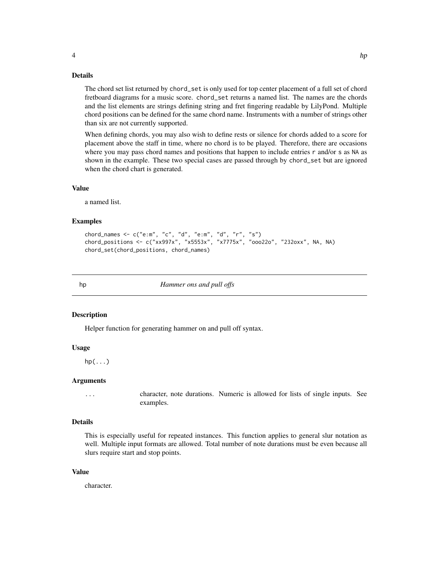#### <span id="page-3-0"></span>Details

The chord set list returned by chord\_set is only used for top center placement of a full set of chord fretboard diagrams for a music score. chord\_set returns a named list. The names are the chords and the list elements are strings defining string and fret fingering readable by LilyPond. Multiple chord positions can be defined for the same chord name. Instruments with a number of strings other than six are not currently supported.

When defining chords, you may also wish to define rests or silence for chords added to a score for placement above the staff in time, where no chord is to be played. Therefore, there are occasions where you may pass chord names and positions that happen to include entries r and/or s as NA as shown in the example. These two special cases are passed through by chord\_set but are ignored when the chord chart is generated.

#### Value

a named list.

# Examples

```
chord_names <- c("e:m", "c", "d", "e:m", "d", "r", "s")
chord_positions <- c("xx997x", "x5553x", "x7775x", "ooo22o", "232oxx", NA, NA)
chord_set(chord_positions, chord_names)
```
hp *Hammer ons and pull offs*

# Description

Helper function for generating hammer on and pull off syntax.

#### Usage

 $hp(\ldots)$ 

#### Arguments

... character, note durations. Numeric is allowed for lists of single inputs. See examples.

#### Details

This is especially useful for repeated instances. This function applies to general slur notation as well. Multiple input formats are allowed. Total number of note durations must be even because all slurs require start and stop points.

#### Value

character.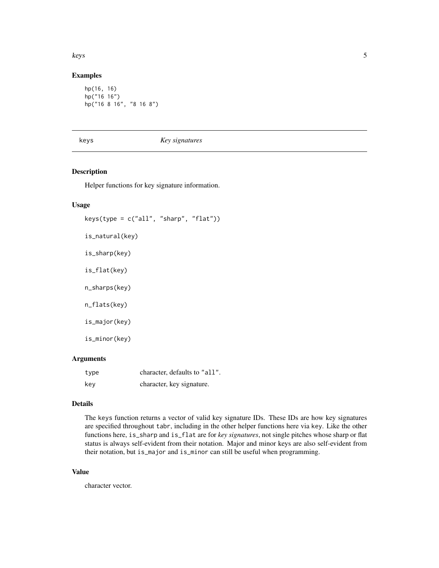<span id="page-4-0"></span>keys 5

# Examples

```
hp(16, 16)
hp("16 16")
hp("16 8 16", "8 16 8")
```
# keys *Key signatures*

# Description

Helper functions for key signature information.

# Usage

keys(type = c("all", "sharp", "flat")) is\_natural(key) is\_sharp(key) is\_flat(key) n\_sharps(key) n\_flats(key) is\_major(key) is\_minor(key)

# Arguments

| type | character, defaults to "all". |
|------|-------------------------------|
| kev  | character, key signature.     |

# Details

The keys function returns a vector of valid key signature IDs. These IDs are how key signatures are specified throughout tabr, including in the other helper functions here via key. Like the other functions here, is\_sharp and is\_flat are for *key signatures*, not single pitches whose sharp or flat status is always self-evident from their notation. Major and minor keys are also self-evident from their notation, but is\_major and is\_minor can still be useful when programming.

# Value

character vector.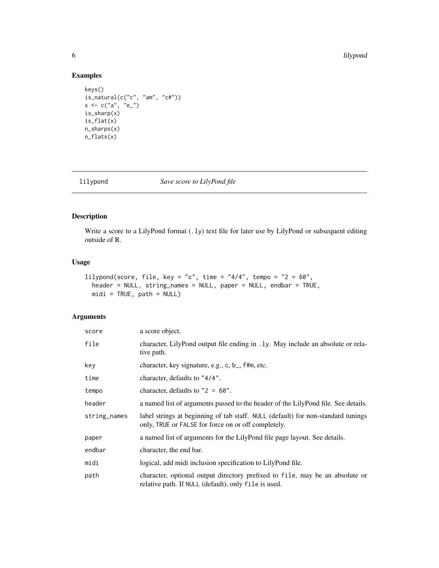#### 6 lilypond

# Examples

```
keys()
is_natural(c("c", "am", "c#"))
x < -c("a", "e"')is_sharp(x)
is_flat(x)
n_sharps(x)
n_flats(x)
```
<span id="page-5-1"></span>

lilypond *Save score to LilyPond file*

# Description

Write a score to a LilyPond format (.1y) text file for later use by LilyPond or subsequent editing outside of R.

# Usage

```
lilypond(score, file, key = "c", time = "4/4", tempo = "2 = 60",
  header = NULL, string_names = NULL, paper = NULL, endbar = TRUE,
  mid = TRUE, path = NULL)
```

| score        | a score object.                                                                                                                         |
|--------------|-----------------------------------------------------------------------------------------------------------------------------------------|
| file         | character, LilyPond output file ending in .1y. May include an absolute or rela-<br>tive path.                                           |
| key          | character, key signature, e.g., c, b_, f#m, etc.                                                                                        |
| time         | character, defaults to "4/4".                                                                                                           |
| tempo        | character, defaults to " $2 = 60$ ".                                                                                                    |
| header       | a named list of arguments passed to the header of the LilyPond file. See details.                                                       |
| string_names | label strings at beginning of tab staff. NULL (default) for non-standard tunings<br>only, TRUE or FALSE for force on or off completely. |
| paper        | a named list of arguments for the LilyPond file page layout. See details.                                                               |
| endbar       | character, the end bar.                                                                                                                 |
| midi         | logical, add midi inclusion specification to LilyPond file.                                                                             |
| path         | character, optional output directory prefixed to file, may be an absolute or<br>relative path. If NULL (default), only file is used.    |

<span id="page-5-0"></span>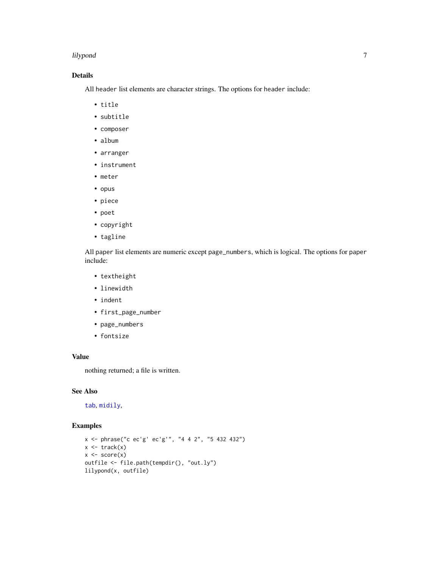#### <span id="page-6-0"></span>lilypond 7

# Details

All header list elements are character strings. The options for header include:

- title
- subtitle
- composer
- album
- arranger
- instrument
- meter
- opus
- piece
- poet
- copyright
- tagline

All paper list elements are numeric except page\_numbers, which is logical. The options for paper include:

- textheight
- linewidth
- indent
- first\_page\_number
- page\_numbers
- fontsize

# Value

nothing returned; a file is written.

# See Also

[tab](#page-17-1), [midily](#page-7-1),

# Examples

```
x <- phrase("c ec'g' ec'g'", "4 4 2", "5 432 432")
x \leftarrow \text{track}(x)x \leftarrow score(x)outfile <- file.path(tempdir(), "out.ly")
lilypond(x, outfile)
```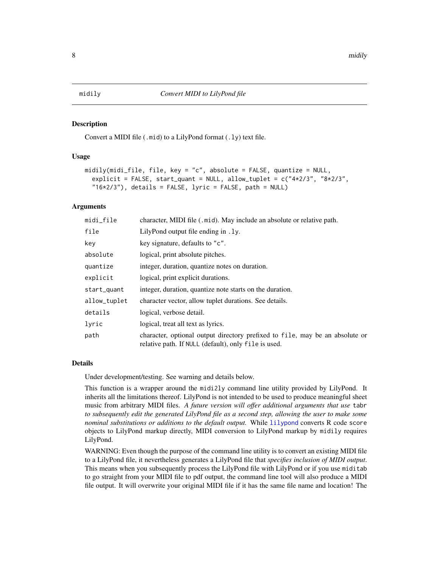<span id="page-7-1"></span><span id="page-7-0"></span>

#### Description

Convert a MIDI file (.mid) to a LilyPond format (.ly) text file.

# Usage

```
midily(midi_file, file, key = "c", absolute = FALSE, quantize = NULL,
  explicit = FALSE, start_quant = NULL, allow_tuplet = c("4*2/3", "8*2/3","16*2/3"), details = FALSE, lyric = FALSE, path = NULL)
```
#### Arguments

| midi_file    | character, MIDI file (.mid). May include an absolute or relative path.                                                               |
|--------------|--------------------------------------------------------------------------------------------------------------------------------------|
| file         | LilyPond output file ending in . 1y.                                                                                                 |
| key          | key signature, defaults to "c".                                                                                                      |
| absolute     | logical, print absolute pitches.                                                                                                     |
| quantize     | integer, duration, quantize notes on duration.                                                                                       |
| explicit     | logical, print explicit durations.                                                                                                   |
| start_quant  | integer, duration, quantize note starts on the duration.                                                                             |
| allow_tuplet | character vector, allow tuplet durations. See details.                                                                               |
| details      | logical, verbose detail.                                                                                                             |
| lyric        | logical, treat all text as lyrics.                                                                                                   |
| path         | character, optional output directory prefixed to file, may be an absolute or<br>relative path. If NULL (default), only file is used. |

#### Details

Under development/testing. See warning and details below.

This function is a wrapper around the midi2ly command line utility provided by LilyPond. It inherits all the limitations thereof. LilyPond is not intended to be used to produce meaningful sheet music from arbitrary MIDI files. *A future version will offer additional arguments that use* tabr *to subsequently edit the generated LilyPond file as a second step, allowing the user to make some nominal substitutions or additions to the default output.* While [lilypond](#page-5-1) converts R code score objects to LilyPond markup directly, MIDI conversion to LilyPond markup by midily requires LilyPond.

WARNING: Even though the purpose of the command line utility is to convert an existing MIDI file to a LilyPond file, it nevertheless generates a LilyPond file that *specifies inclusion of MIDI output*. This means when you subsequently process the LilyPond file with LilyPond or if you use miditab to go straight from your MIDI file to pdf output, the command line tool will also produce a MIDI file output. It will overwrite your original MIDI file if it has the same file name and location! The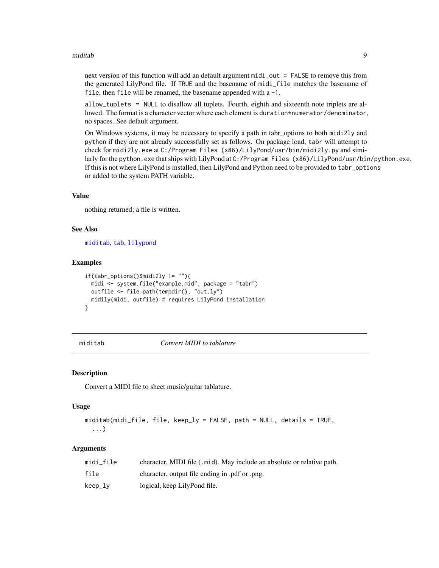#### <span id="page-8-0"></span>miditab 9

next version of this function will add an default argument midi\_out = FALSE to remove this from the generated LilyPond file. If TRUE and the basename of midi\_file matches the basename of file, then file will be renamed, the basename appended with a -1.

allow\_tuplets = NULL to disallow all tuplets. Fourth, eighth and sixteenth note triplets are allowed. The format is a character vector where each element is duration\*numerator/denominator, no spaces. See default argument.

On Windows systems, it may be necessary to specify a path in tabr\_options to both midi2ly and python if they are not already successfully set as follows. On package load, tabr will attempt to check for midi2ly.exe at C:/Program Files (x86)/LilyPond/usr/bin/midi2ly.py and similarly for the python.exe that ships with LilyPond at C:/Program Files (x86)/LilyPond/usr/bin/python.exe. If this is not where LilyPond is installed, then LilyPond and Python need to be provided to tabr\_options or added to the system PATH variable.

#### Value

nothing returned; a file is written.

# See Also

[miditab](#page-8-1), [tab](#page-17-1), [lilypond](#page-5-1)

#### Examples

```
if(tabr_options()$midi2ly != ""){
 midi <- system.file("example.mid", package = "tabr")
 outfile <- file.path(tempdir(), "out.ly")
 midily(midi, outfile) # requires LilyPond installation
}
```
<span id="page-8-1"></span>miditab *Convert MIDI to tablature*

#### **Description**

Convert a MIDI file to sheet music/guitar tablature.

#### Usage

```
miditab(midi_file, file, keep_ly = FALSE, path = NULL, details = TRUE,
  ...)
```

| midi file | character, MIDI file (.mid). May include an absolute or relative path. |
|-----------|------------------------------------------------------------------------|
| file      | character, output file ending in .pdf or .png.                         |
| keep_ly   | logical, keep LilyPond file.                                           |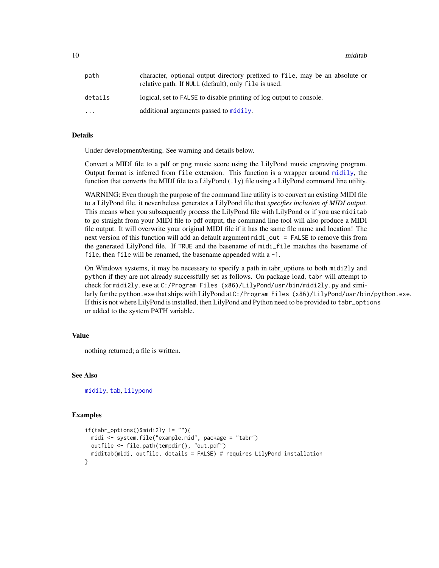<span id="page-9-0"></span>10 miditab

| path      | character, optional output directory prefixed to file, may be an absolute or<br>relative path. If NULL (default), only file is used. |
|-----------|--------------------------------------------------------------------------------------------------------------------------------------|
| details   | logical, set to FALSE to disable printing of log output to console.                                                                  |
| $\ddotsc$ | additional arguments passed to midily.                                                                                               |

# Details

Under development/testing. See warning and details below.

Convert a MIDI file to a pdf or png music score using the LilyPond music engraving program. Output format is inferred from file extension. This function is a wrapper around [midily](#page-7-1), the function that converts the MIDI file to a LilyPond  $(.1y)$  file using a LilyPond command line utility.

WARNING: Even though the purpose of the command line utility is to convert an existing MIDI file to a LilyPond file, it nevertheless generates a LilyPond file that *specifies inclusion of MIDI output*. This means when you subsequently process the LilyPond file with LilyPond or if you use miditab to go straight from your MIDI file to pdf output, the command line tool will also produce a MIDI file output. It will overwrite your original MIDI file if it has the same file name and location! The next version of this function will add an default argument midi\_out = FALSE to remove this from the generated LilyPond file. If TRUE and the basename of midi\_file matches the basename of file, then file will be renamed, the basename appended with a -1.

On Windows systems, it may be necessary to specify a path in tabr\_options to both midi2ly and python if they are not already successfully set as follows. On package load, tabr will attempt to check for midi2ly.exe at C:/Program Files (x86)/LilyPond/usr/bin/midi2ly.py and similarly for the python.exe that ships with LilyPond at C:/Program Files (x86)/LilyPond/usr/bin/python.exe. If this is not where LilyPond is installed, then LilyPond and Python need to be provided to tabr\_options or added to the system PATH variable.

# Value

nothing returned; a file is written.

# See Also

[midily](#page-7-1), [tab](#page-17-1), [lilypond](#page-5-1)

#### Examples

```
if(tabr_options()$midi2ly != ""){
 midi <- system.file("example.mid", package = "tabr")
 outfile <- file.path(tempdir(), "out.pdf")
 miditab(midi, outfile, details = FALSE) # requires LilyPond installation
}
```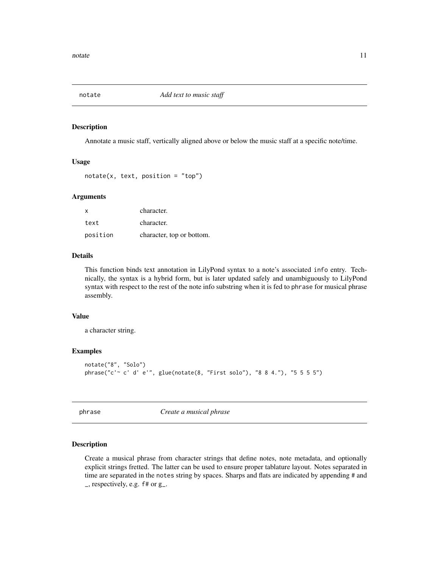<span id="page-10-1"></span><span id="page-10-0"></span>

#### Description

Annotate a music staff, vertically aligned above or below the music staff at a specific note/time.

# Usage

```
notate(x, text, position = "top")
```
#### Arguments

| $\mathsf{x}$ | character.                |
|--------------|---------------------------|
| text         | character.                |
| position     | character, top or bottom. |

# Details

This function binds text annotation in LilyPond syntax to a note's associated info entry. Technically, the syntax is a hybrid form, but is later updated safely and unambiguously to LilyPond syntax with respect to the rest of the note info substring when it is fed to phrase for musical phrase assembly.

# Value

a character string.

# Examples

```
notate("8", "Solo")
phrase("c'~ c' d' e'", glue(notate(8, "First solo"), "8 8 4."), "5 5 5 5")
```
<span id="page-10-2"></span>

phrase *Create a musical phrase*

#### Description

Create a musical phrase from character strings that define notes, note metadata, and optionally explicit strings fretted. The latter can be used to ensure proper tablature layout. Notes separated in time are separated in the notes string by spaces. Sharps and flats are indicated by appending # and \_, respectively, e.g. f# or g\_.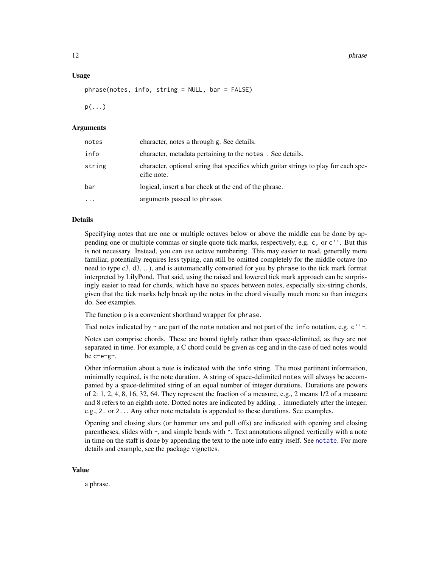<span id="page-11-0"></span>12 phrase property of the state of the state of the state of the state of the state of the state of the state of the state of the state of the state of the state of the state of the state of the state of the state of the s

#### Usage

phrase(notes, info, string = NULL, bar = FALSE)

 $p(\ldots)$ 

#### Arguments

| notes     | character, notes a through g. See details.                                                          |
|-----------|-----------------------------------------------------------------------------------------------------|
| info      | character, metadata pertaining to the notes. See details.                                           |
| string    | character, optional string that specifies which guitar strings to play for each spe-<br>cific note. |
| bar       | logical, insert a bar check at the end of the phrase.                                               |
| $\ddotsc$ | arguments passed to phrase.                                                                         |

# Details

Specifying notes that are one or multiple octaves below or above the middle can be done by appending one or multiple commas or single quote tick marks, respectively, e.g. c, or c''. But this is not necessary. Instead, you can use octave numbering. This may easier to read, generally more familiar, potentially requires less typing, can still be omitted completely for the middle octave (no need to type c3, d3, ...), and is automatically converted for you by phrase to the tick mark format interpreted by LilyPond. That said, using the raised and lowered tick mark approach can be surprisingly easier to read for chords, which have no spaces between notes, especially six-string chords, given that the tick marks help break up the notes in the chord visually much more so than integers do. See examples.

The function p is a convenient shorthand wrapper for phrase.

Tied notes indicated by  $\sim$  are part of the note notation and not part of the info notation, e.g. c'' $\sim$ .

Notes can comprise chords. These are bound tightly rather than space-delimited, as they are not separated in time. For example, a C chord could be given as ceg and in the case of tied notes would be c~e~g~.

Other information about a note is indicated with the info string. The most pertinent information, minimally required, is the note duration. A string of space-delimited notes will always be accompanied by a space-delimited string of an equal number of integer durations. Durations are powers of 2: 1, 2, 4, 8, 16, 32, 64. They represent the fraction of a measure, e.g., 2 means 1/2 of a measure and 8 refers to an eighth note. Dotted notes are indicated by adding . immediately after the integer, e.g., 2. or 2... Any other note metadata is appended to these durations. See examples.

Opening and closing slurs (or hammer ons and pull offs) are indicated with opening and closing parentheses, slides with  $-$ , and simple bends with  $\wedge$ . Text annotations aligned vertically with a note in time on the staff is done by appending the text to the note info entry itself. See [notate](#page-10-1). For more details and example, see the package vignettes.

# Value

a phrase.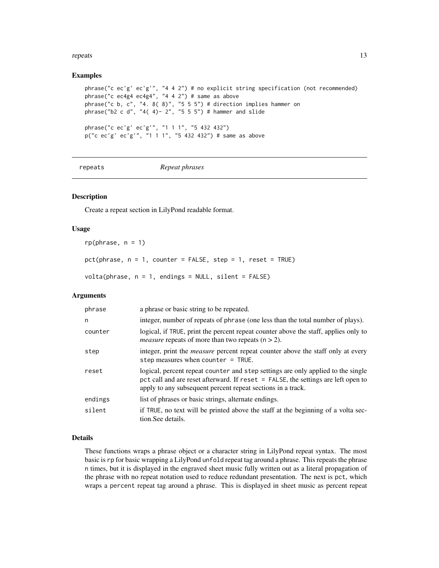#### <span id="page-12-0"></span>repeats and the set of the set of the set of the set of the set of the set of the set of the set of the set of the set of the set of the set of the set of the set of the set of the set of the set of the set of the set of t

#### Examples

```
phrase("c ec'g' ec'g'", "4 4 2") # no explicit string specification (not recommended)
phrase("c ec4g4 ec4g4", "4 4 2") # same as above
phrase("c b, c", "4. 8( 8)", "5 5 5") # direction implies hammer on
phrase("b2 c d", "4( 4) - 2", "5 5 5") # hammer and slide
phrase("c ec'g' ec'g'", "1 1 1", "5 432 432")
p("c ec'g' ec'g'", "1 1 1", "5 432 432") # same as above
```
repeats *Repeat phrases*

#### Description

Create a repeat section in LilyPond readable format.

#### Usage

```
rp(phrase, n = 1)
```
 $pct(phrase, n = 1, counter = FALSE, step = 1, reset = TRUE)$ 

```
volta(phrase, n = 1, endings = NULL, silent = FALSE)
```
# Arguments

| phrase  | a phrase or basic string to be repeated.                                                                                                                                                                                             |
|---------|--------------------------------------------------------------------------------------------------------------------------------------------------------------------------------------------------------------------------------------|
| n       | integer, number of repeats of phrase (one less than the total number of plays).                                                                                                                                                      |
| counter | logical, if TRUE, print the percent repeat counter above the staff, applies only to<br><i>measure</i> repeats of more than two repeats $(n > 2)$ .                                                                                   |
| step    | integer, print the <i>measure</i> percent repeat counter above the staff only at every<br>step measures when counter $=$ TRUE.                                                                                                       |
| reset   | logical, percent repeat counter and step settings are only applied to the single<br>pct call and are reset afterward. If reset = FALSE, the settings are left open to<br>apply to any subsequent percent repeat sections in a track. |
| endings | list of phrases or basic strings, alternate endings.                                                                                                                                                                                 |
| silent  | if TRUE, no text will be printed above the staff at the beginning of a volta sec-<br>tion. See details.                                                                                                                              |

# Details

These functions wraps a phrase object or a character string in LilyPond repeat syntax. The most basic is rp for basic wrapping a LilyPond unfold repeat tag around a phrase. This repeats the phrase n times, but it is displayed in the engraved sheet music fully written out as a literal propagation of the phrase with no repeat notation used to reduce redundant presentation. The next is pct, which wraps a percent repeat tag around a phrase. This is displayed in sheet music as percent repeat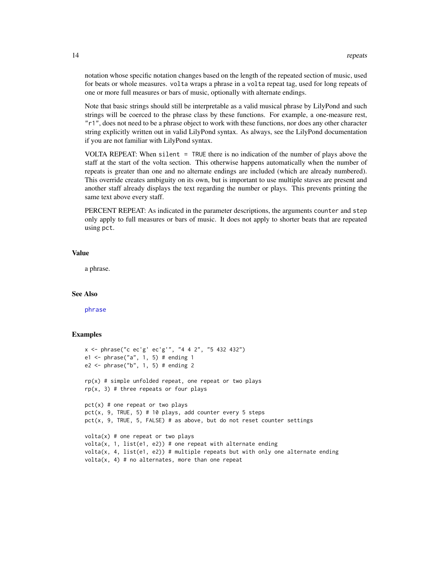<span id="page-13-0"></span>notation whose specific notation changes based on the length of the repeated section of music, used for beats or whole measures. volta wraps a phrase in a volta repeat tag, used for long repeats of one or more full measures or bars of music, optionally with alternate endings.

Note that basic strings should still be interpretable as a valid musical phrase by LilyPond and such strings will be coerced to the phrase class by these functions. For example, a one-measure rest, "r1", does not need to be a phrase object to work with these functions, nor does any other character string explicitly written out in valid LilyPond syntax. As always, see the LilyPond documentation if you are not familiar with LilyPond syntax.

VOLTA REPEAT: When silent = TRUE there is no indication of the number of plays above the staff at the start of the volta section. This otherwise happens automatically when the number of repeats is greater than one and no alternate endings are included (which are already numbered). This override creates ambiguity on its own, but is important to use multiple staves are present and another staff already displays the text regarding the number or plays. This prevents printing the same text above every staff.

PERCENT REPEAT: As indicated in the parameter descriptions, the arguments counter and step only apply to full measures or bars of music. It does not apply to shorter beats that are repeated using pct.

#### Value

a phrase.

#### See Also

[phrase](#page-10-2)

# Examples

```
x <- phrase("c ec'g' ec'g'", "4 4 2", "5 432 432")
e1 <- phrase("a", 1, 5) # ending 1
e2 <- phrase("b", 1, 5) # ending 2
rp(x) # simple unfolded repeat, one repeat or two plays
rp(x, 3) # three repeats or four plays
pct(x) # one repeat or two plays
pct(x, 9, TRUE, 5) # 10 plays, add counter every 5 steps
pct(x, 9, TRUE, 5, FALSE) # as above, but do not reset counter settings
volta(x) # one repeat or two plays
volta(x, 1, list(e1, e2)) # one repeat with alternate ending
volta(x, 4, list(e1, e2)) # multiple repeats but with only one alternate ending
volta(x, 4) # no alternates, more than one repeat
```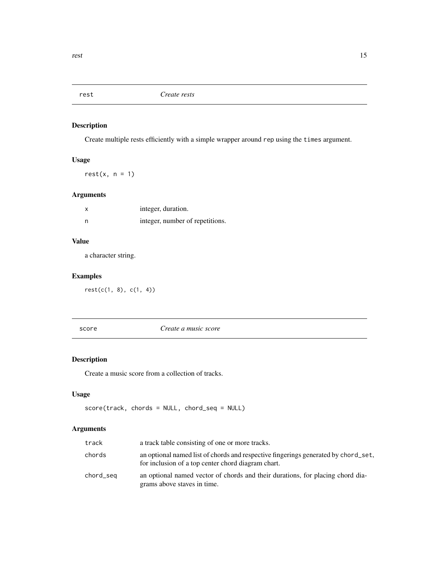<span id="page-14-0"></span>

# Description

Create multiple rests efficiently with a simple wrapper around rep using the times argument.

# Usage

 $rest(x, n = 1)$ 

# Arguments

| integer, duration.              |
|---------------------------------|
| integer, number of repetitions. |

# Value

a character string.

# Examples

 $rest(c(1, 8), c(1, 4))$ 

score *Create a music score*

# Description

Create a music score from a collection of tracks.

# Usage

```
score(track, chords = NULL, chord_seq = NULL)
```

| track     | a track table consisting of one or more tracks.                                                                                          |
|-----------|------------------------------------------------------------------------------------------------------------------------------------------|
| chords    | an optional named list of chords and respective fingerings generated by chord_set,<br>for inclusion of a top center chord diagram chart. |
| chord_seq | an optional named vector of chords and their durations, for placing chord dia-<br>grams above staves in time.                            |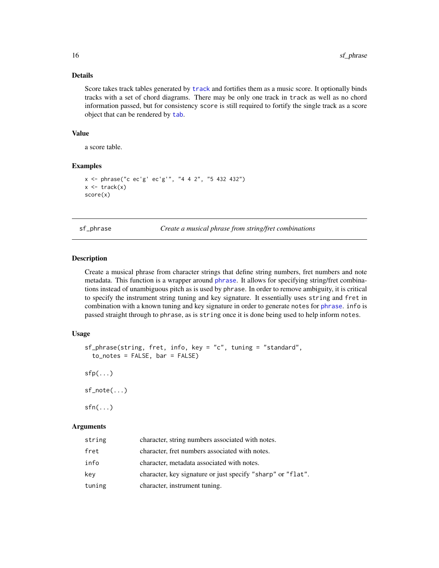# Details

Score takes track tables generated by [track](#page-20-1) and fortifies them as a music score. It optionally binds tracks with a set of chord diagrams. There may be only one track in track as well as no chord information passed, but for consistency score is still required to fortify the single track as a score object that can be rendered by [tab](#page-17-1).

# Value

a score table.

# Examples

```
x <- phrase("c ec'g' ec'g'", "4 4 2", "5 432 432")
x \leftarrow \text{track}(x)score(x)
```
sf\_phrase *Create a musical phrase from string/fret combinations*

# Description

Create a musical phrase from character strings that define string numbers, fret numbers and note metadata. This function is a wrapper around [phrase](#page-10-2). It allows for specifying string/fret combinations instead of unambiguous pitch as is used by phrase. In order to remove ambiguity, it is critical to specify the instrument string tuning and key signature. It essentially uses string and fret in combination with a known tuning and key signature in order to generate notes for [phrase](#page-10-2). info is passed straight through to phrase, as is string once it is done being used to help inform notes.

# Usage

```
sf_phrase(string, fret, info, key = "c", tuning = "standard",
  to_notes = FALSE, bar = FALSE)
sfp(...)sf_note(...)
sfn(...)
```

| string | character, string numbers associated with notes.            |
|--------|-------------------------------------------------------------|
| fret   | character, fret numbers associated with notes.              |
| info   | character, metadata associated with notes.                  |
| kev    | character, key signature or just specify "sharp" or "flat". |
| tuning | character, instrument tuning.                               |

<span id="page-15-0"></span>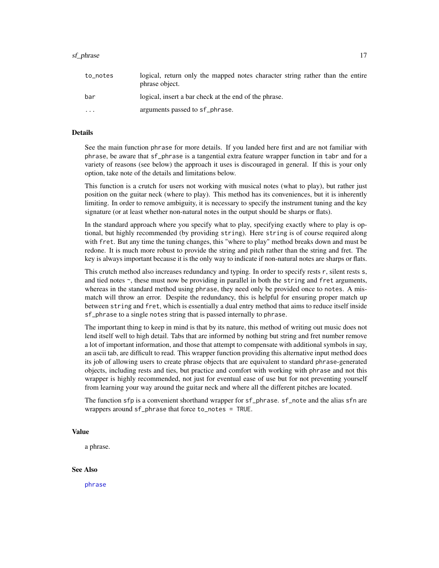<span id="page-16-0"></span>

| to notes | logical, return only the mapped notes character string rather than the entire<br>phrase object. |
|----------|-------------------------------------------------------------------------------------------------|
| bar      | logical, insert a bar check at the end of the phrase.                                           |
| $\cdots$ | arguments passed to sf _phrase.                                                                 |

#### Details

See the main function phrase for more details. If you landed here first and are not familiar with phrase, be aware that sf\_phrase is a tangential extra feature wrapper function in tabr and for a variety of reasons (see below) the approach it uses is discouraged in general. If this is your only option, take note of the details and limitations below.

This function is a crutch for users not working with musical notes (what to play), but rather just position on the guitar neck (where to play). This method has its conveniences, but it is inherently limiting. In order to remove ambiguity, it is necessary to specify the instrument tuning and the key signature (or at least whether non-natural notes in the output should be sharps or flats).

In the standard approach where you specify what to play, specifying exactly where to play is optional, but highly recommended (by providing string). Here string is of course required along with fret. But any time the tuning changes, this "where to play" method breaks down and must be redone. It is much more robust to provide the string and pitch rather than the string and fret. The key is always important because it is the only way to indicate if non-natural notes are sharps or flats.

This crutch method also increases redundancy and typing. In order to specify rests r, silent rests s, and tied notes ~, these must now be providing in parallel in both the string and fret arguments, whereas in the standard method using phrase, they need only be provided once to notes. A mismatch will throw an error. Despite the redundancy, this is helpful for ensuring proper match up between string and fret, which is essentially a dual entry method that aims to reduce itself inside sf\_phrase to a single notes string that is passed internally to phrase.

The important thing to keep in mind is that by its nature, this method of writing out music does not lend itself well to high detail. Tabs that are informed by nothing but string and fret number remove a lot of important information, and those that attempt to compensate with additional symbols in say, an ascii tab, are difficult to read. This wrapper function providing this alternative input method does its job of allowing users to create phrase objects that are equivalent to standard phrase-generated objects, including rests and ties, but practice and comfort with working with phrase and not this wrapper is highly recommended, not just for eventual ease of use but for not preventing yourself from learning your way around the guitar neck and where all the different pitches are located.

The function sfp is a convenient shorthand wrapper for sf\_phrase. sf\_note and the alias sfn are wrappers around sf\_phrase that force to\_notes = TRUE.

#### Value

a phrase.

#### See Also

[phrase](#page-10-2)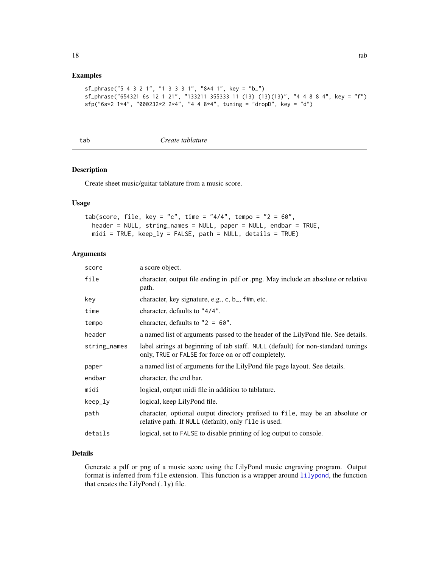# <span id="page-17-0"></span>Examples

```
sf_phrase("5 4 3 2 1", "1 3 3 3 1", "8*4 1", key = "b_")
sf_phrase("654321 6s 12 1 21", "133211 355333 11 (13) (13)(13)", "4 4 8 8 4", key = "f")
sfp("6s*2 1*4", "000232*2 2*4", "4 4 8*4", tuning = "dropD", key = "d")
```
<span id="page-17-1"></span>

| 원 사 | ٠ |
|-----|---|
|     |   |

```
the Create tablature
```
# Description

Create sheet music/guitar tablature from a music score.

# Usage

```
tab(score, file, key = "c", time = "4/4", tempo = "2 = 60",
  header = NULL, string_names = NULL, paper = NULL, endbar = TRUE,
 mid = TRUE, keep_ly = FALSE, path = NULL, details = TRUE)
```
#### Arguments

| score        | a score object.                                                                                                                         |
|--------------|-----------------------------------------------------------------------------------------------------------------------------------------|
| file         | character, output file ending in .pdf or .png. May include an absolute or relative<br>path.                                             |
| key          | character, key signature, e.g., c, b_, f#m, etc.                                                                                        |
| time         | character, defaults to "4/4".                                                                                                           |
| tempo        | character, defaults to " $2 = 60$ ".                                                                                                    |
| header       | a named list of arguments passed to the header of the LilyPond file. See details.                                                       |
| string_names | label strings at beginning of tab staff. NULL (default) for non-standard tunings<br>only, TRUE or FALSE for force on or off completely. |
| paper        | a named list of arguments for the LilyPond file page layout. See details.                                                               |
| endbar       | character, the end bar.                                                                                                                 |
| midi         | logical, output midi file in addition to tablature.                                                                                     |
| keep_ly      | logical, keep LilyPond file.                                                                                                            |
| path         | character, optional output directory prefixed to file, may be an absolute or<br>relative path. If NULL (default), only file is used.    |
| details      | logical, set to FALSE to disable printing of log output to console.                                                                     |

# Details

Generate a pdf or png of a music score using the LilyPond music engraving program. Output format is inferred from file extension. This function is a wrapper around [lilypond](#page-5-1), the function that creates the LilyPond  $(.1y)$  file.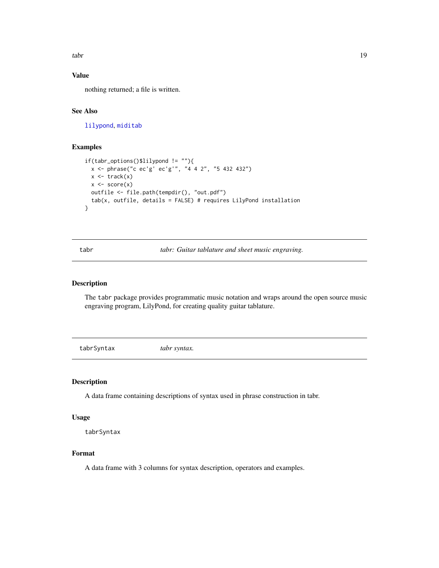<span id="page-18-0"></span>tabr 19

# Value

nothing returned; a file is written.

# See Also

[lilypond](#page-5-1), [miditab](#page-8-1)

# Examples

```
if(tabr_options()$lilypond != ""){
  x <- phrase("c ec'g' ec'g'", "4 4 2", "5 432 432")
  x \leftarrow \text{track}(x)x \leftarrow \text{score}(x)outfile <- file.path(tempdir(), "out.pdf")
  tab(x, outfile, details = FALSE) # requires LilyPond installation
}
```
tabr *tabr: Guitar tablature and sheet music engraving.*

# Description

The tabr package provides programmatic music notation and wraps around the open source music engraving program, LilyPond, for creating quality guitar tablature.

tabrSyntax *tabr syntax.*

# Description

A data frame containing descriptions of syntax used in phrase construction in tabr.

#### Usage

tabrSyntax

# Format

A data frame with 3 columns for syntax description, operators and examples.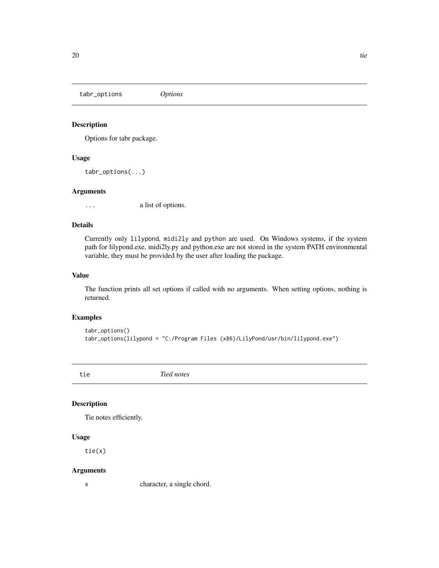<span id="page-19-0"></span>tabr\_options *Options*

# Description

Options for tabr package.

# Usage

tabr\_options(...)

#### Arguments

... a list of options.

# Details

Currently only lilypond, midi2ly and python are used. On Windows systems, if the system path for lilypond.exe, midi2ly.py and python.exe are not stored in the system PATH environmental variable, they must be provided by the user after loading the package.

# Value

The function prints all set options if called with no arguments. When setting options, nothing is returned.

# Examples

```
tabr_options()
tabr_options(lilypond = "C:/Program Files (x86)/LilyPond/usr/bin/lilypond.exe")
```
tie *Tied notes*

# Description

Tie notes efficiently.

# Usage

tie(x)

# Arguments

x character, a single chord.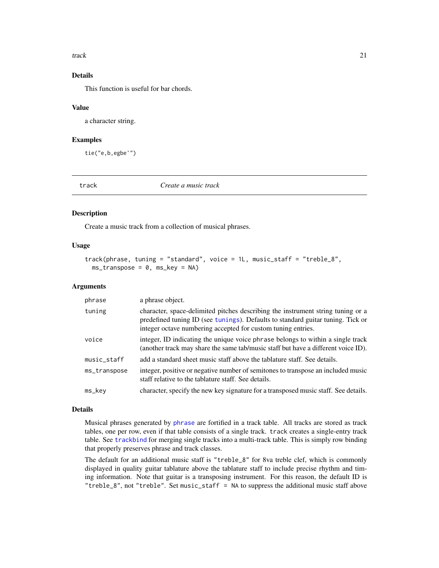#### <span id="page-20-0"></span>track 21

# Details

This function is useful for bar chords.

#### Value

a character string.

#### Examples

tie("e,b,egbe'")

<span id="page-20-1"></span>

track *Create a music track*

# Description

Create a music track from a collection of musical phrases.

# Usage

```
track(phrase, tuning = "standard", voice = 1L, music_staff = "treble_8",
  ms_{transpose} = 0, ms_{key} = NA
```
#### Arguments

| phrase       | a phrase object.                                                                                                                                                                                                                   |
|--------------|------------------------------------------------------------------------------------------------------------------------------------------------------------------------------------------------------------------------------------|
| tuning       | character, space-delimited pitches describing the instrument string tuning or a<br>predefined tuning ID (see tunings). Defaults to standard guitar tuning. Tick or<br>integer octave numbering accepted for custom tuning entries. |
| voice        | integer, ID indicating the unique voice phrase belongs to within a single track<br>(another track may share the same tab/music staff but have a different voice ID).                                                               |
| music_staff  | add a standard sheet music staff above the tablature staff. See details.                                                                                                                                                           |
| ms_transpose | integer, positive or negative number of semitones to transpose an included music<br>staff relative to the tablature staff. See details.                                                                                            |
| ms_kev       | character, specify the new key signature for a transposed music staff. See details.                                                                                                                                                |

#### Details

Musical phrases generated by [phrase](#page-10-2) are fortified in a track table. All tracks are stored as track tables, one per row, even if that table consists of a single track. track creates a single-entry track table. See [trackbind](#page-21-1) for merging single tracks into a multi-track table. This is simply row binding that properly preserves phrase and track classes.

The default for an additional music staff is "treble\_8" for 8va treble clef, which is commonly displayed in quality guitar tablature above the tablature staff to include precise rhythm and timing information. Note that guitar is a transposing instrument. For this reason, the default ID is "treble\_8", not "treble". Set music\_staff = NA to suppress the additional music staff above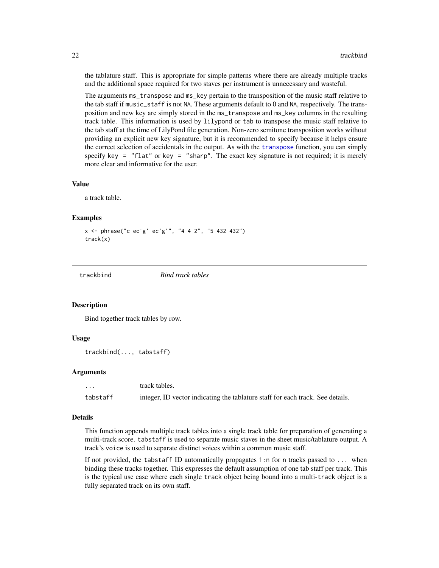<span id="page-21-0"></span>the tablature staff. This is appropriate for simple patterns where there are already multiple tracks and the additional space required for two staves per instrument is unnecessary and wasteful.

The arguments ms\_transpose and ms\_key pertain to the transposition of the music staff relative to the tab staff if music\_staff is not NA. These arguments default to 0 and NA, respectively. The transposition and new key are simply stored in the ms\_transpose and ms\_key columns in the resulting track table. This information is used by lilypond or tab to transpose the music staff relative to the tab staff at the time of LilyPond file generation. Non-zero semitone transposition works without providing an explicit new key signature, but it is recommended to specify because it helps ensure the correct selection of accidentals in the output. As with the [transpose](#page-22-1) function, you can simply specify key =  $"flat"$  or key =  $"sharp"$ . The exact key signature is not required; it is merely more clear and informative for the user.

#### Value

a track table.

#### Examples

```
x <- phrase("c ec'g' ec'g'", "4 4 2", "5 432 432")
track(x)
```
<span id="page-21-1"></span>

trackbind *Bind track tables*

#### Description

Bind together track tables by row.

#### Usage

```
trackbind(..., tabstaff)
```
#### Arguments

| $\cdot$ $\cdot$ $\cdot$ | track tables.                                                                  |
|-------------------------|--------------------------------------------------------------------------------|
| tabstaff                | integer, ID vector indicating the tablature staff for each track. See details. |

#### Details

This function appends multiple track tables into a single track table for preparation of generating a multi-track score. tabstaff is used to separate music staves in the sheet music/tablature output. A track's voice is used to separate distinct voices within a common music staff.

If not provided, the tabstaff ID automatically propagates  $1:n$  for n tracks passed to  $\dots$  when binding these tracks together. This expresses the default assumption of one tab staff per track. This is the typical use case where each single track object being bound into a multi-track object is a fully separated track on its own staff.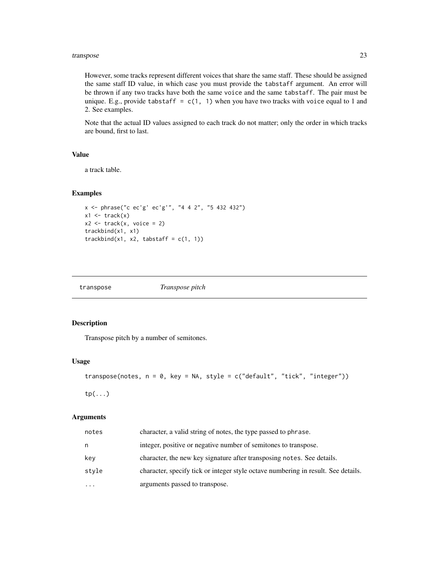#### <span id="page-22-0"></span>transpose 23

However, some tracks represent different voices that share the same staff. These should be assigned the same staff ID value, in which case you must provide the tabstaff argument. An error will be thrown if any two tracks have both the same voice and the same tabstaff. The pair must be unique. E.g., provide tabstaff =  $c(1, 1)$  when you have two tracks with voice equal to 1 and 2. See examples.

Note that the actual ID values assigned to each track do not matter; only the order in which tracks are bound, first to last.

# Value

a track table.

# Examples

```
x <- phrase("c ec'g' ec'g'", "4 4 2", "5 432 432")
x1 \leftarrow \text{track}(x)x2 \leftarrow \text{track}(x, \text{ voice} = 2)trackbind(x1, x1)
trackbind(x1, x2, tabstaff = c(1, 1))
```
<span id="page-22-1"></span>transpose *Transpose pitch*

# Description

Transpose pitch by a number of semitones.

#### Usage

```
transpose(notes, n = 0, key = NA, style = c("default", "tick", "integer"))
```
tp(...)

| notes    | character, a valid string of notes, the type passed to phrase.                    |
|----------|-----------------------------------------------------------------------------------|
| n        | integer, positive or negative number of semitones to transpose.                   |
| kev      | character, the new key signature after transposing notes. See details.            |
| style    | character, specify tick or integer style octave numbering in result. See details. |
| $\cdots$ | arguments passed to transpose.                                                    |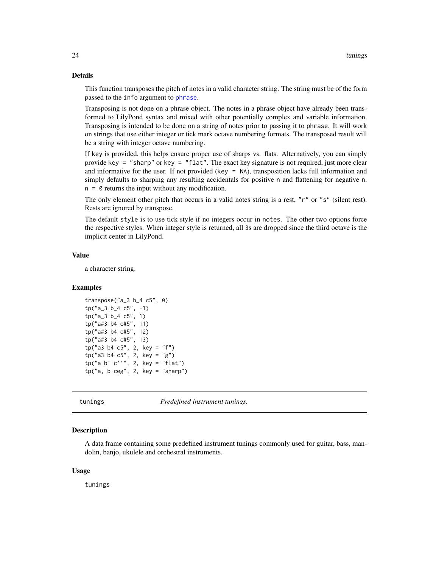#### Details

This function transposes the pitch of notes in a valid character string. The string must be of the form passed to the info argument to [phrase](#page-10-2).

Transposing is not done on a phrase object. The notes in a phrase object have already been transformed to LilyPond syntax and mixed with other potentially complex and variable information. Transposing is intended to be done on a string of notes prior to passing it to phrase. It will work on strings that use either integer or tick mark octave numbering formats. The transposed result will be a string with integer octave numbering.

If key is provided, this helps ensure proper use of sharps vs. flats. Alternatively, you can simply provide key = "sharp" or key = "flat". The exact key signature is not required, just more clear and informative for the user. If not provided (key =  $NA$ ), transposition lacks full information and simply defaults to sharping any resulting accidentals for positive n and flattening for negative n. n = 0 returns the input without any modification.

The only element other pitch that occurs in a valid notes string is a rest, "r" or "s" (silent rest). Rests are ignored by transpose.

The default style is to use tick style if no integers occur in notes. The other two options force the respective styles. When integer style is returned, all 3s are dropped since the third octave is the implicit center in LilyPond.

#### Value

a character string.

# Examples

```
transpose("a_3 b_4 c5", 0)
tp("a_3 b_4 c5", -1)tp("a_3 b_4 c5", 1)
tp("a#3 b4 c#5", 11)
tp("a#3 b4 c#5", 12)
tp("a#3 b4 c#5", 13)
tp("a3 b4 c5", 2, key = "f")tp("a3 b4 c5", 2, key = "g")
tp("a b' c''", 2, key = "flat")
tp("a, b ceg", 2, key = "sharp")
```
tunings *Predefined instrument tunings.*

# **Description**

A data frame containing some predefined instrument tunings commonly used for guitar, bass, mandolin, banjo, ukulele and orchestral instruments.

#### Usage

tunings

<span id="page-23-0"></span>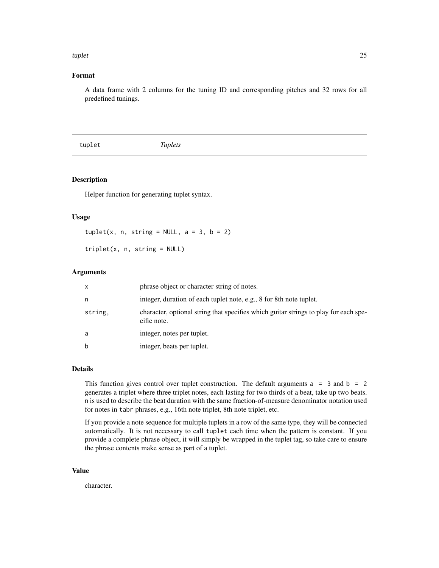#### <span id="page-24-0"></span>tuplet 25

# Format

A data frame with 2 columns for the tuning ID and corresponding pitches and 32 rows for all predefined tunings.

tuplet *Tuplets*

# Description

Helper function for generating tuplet syntax.

# Usage

```
tuple(x, n, string = NULL, a = 3, b = 2)
```
triplet(x, n, string = NULL)

# Arguments

| $\mathsf{x}$ | phrase object or character string of notes.                                                         |
|--------------|-----------------------------------------------------------------------------------------------------|
| n            | integer, duration of each tuplet note, e.g., 8 for 8th note tuplet.                                 |
| string,      | character, optional string that specifies which guitar strings to play for each spe-<br>cific note. |
| a            | integer, notes per tuplet.                                                                          |
| b            | integer, beats per tuplet.                                                                          |

#### Details

This function gives control over tuplet construction. The default arguments  $a = 3$  and  $b = 2$ generates a triplet where three triplet notes, each lasting for two thirds of a beat, take up two beats. n is used to describe the beat duration with the same fraction-of-measure denominator notation used for notes in tabr phrases, e.g., 16th note triplet, 8th note triplet, etc.

If you provide a note sequence for multiple tuplets in a row of the same type, they will be connected automatically. It is not necessary to call tuplet each time when the pattern is constant. If you provide a complete phrase object, it will simply be wrapped in the tuplet tag, so take care to ensure the phrase contents make sense as part of a tuplet.

#### Value

character.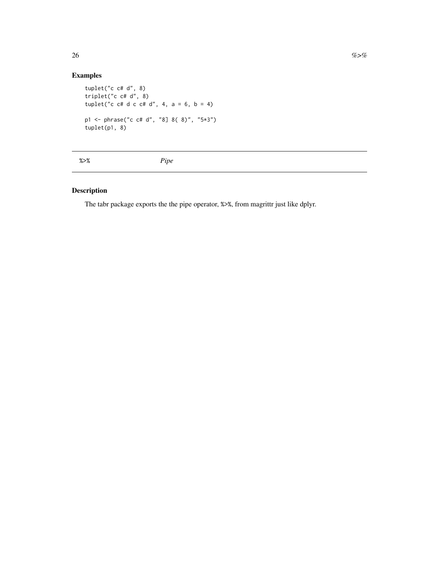# Examples

```
tuplet("c c# d", 8)
triplet("c c# d", 8)
tuplet("c ct# d c ct d", 4, a = 6, b = 4)
p1 <- phrase("c c# d", "8] 8( 8)", "5*3")
tuplet(p1, 8)
```
%>% *Pipe*

# Description

The tabr package exports the the pipe operator, %>%, from magrittr just like dplyr.

<span id="page-25-0"></span>